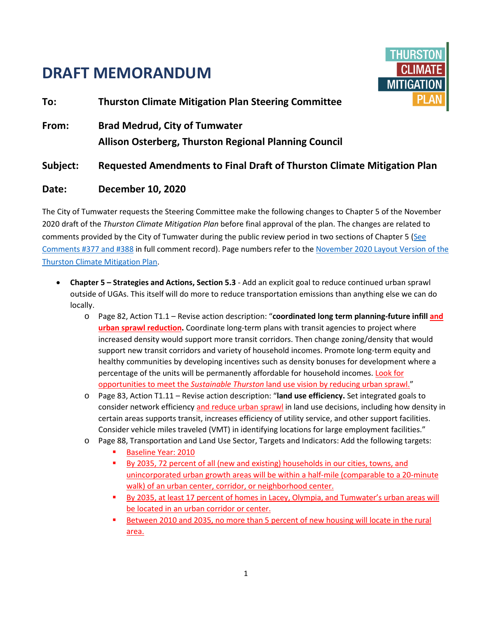## **DRAFT MEMORANDUM**



**To: Thurston Climate Mitigation Plan Steering Committee From: Brad Medrud, City of Tumwater Allison Osterberg, Thurston Regional Planning Council Subject: Requested Amendments to Final Draft of Thurston Climate Mitigation Plan**

## **Date: December 10, 2020**

The City of Tumwater requests the Steering Committee make the following changes to Chapter 5 of the November 2020 draft of the *Thurston Climate Mitigation Plan* before final approval of the plan. The changes are related to comments provided by the City of Tumwater during the public review period in two sections of Chapter 5 [\(See](https://www.trpc.org/DocumentCenter/View/8160/TCMP_ALL-Draft-Plan-Public-Comments_CORRECTED-11032020)  [Comments #377 and #388](https://www.trpc.org/DocumentCenter/View/8160/TCMP_ALL-Draft-Plan-Public-Comments_CORRECTED-11032020) in full comment record). Page numbers refer to th[e November 2020 Layout Version of the](https://www.trpc.org/DocumentCenter/View/8084/TCMP_00_NovemberDraft_Chapters)  [Thurston Climate Mitigation Plan.](https://www.trpc.org/DocumentCenter/View/8084/TCMP_00_NovemberDraft_Chapters)

- **Chapter 5 – Strategies and Actions, Section 5.3** Add an explicit goal to reduce continued urban sprawl outside of UGAs. This itself will do more to reduce transportation emissions than anything else we can do locally.
	- o Page 82, Action T1.1 Revise action description: "**coordinated long term planning-future infill and urban sprawl reduction.** Coordinate long-term plans with transit agencies to project where increased density would support more transit corridors. Then change zoning/density that would support new transit corridors and variety of household incomes. Promote long-term equity and healthy communities by developing incentives such as density bonuses for development where a percentage of the units will be permanently affordable for household incomes. Look for opportunities to meet the *Sustainable Thurston* land use vision by reducing urban sprawl."
	- o Page 83, Action T1.11 Revise action description: "**land use efficiency.** Set integrated goals to consider network efficiency and reduce urban sprawl in land use decisions, including how density in certain areas supports transit, increases efficiency of utility service, and other support facilities. Consider vehicle miles traveled (VMT) in identifying locations for large employment facilities."
	- o Page 88, Transportation and Land Use Sector, Targets and Indicators: Add the following targets:
		- **Baseline Year: 2010**
		- By 2035, 72 percent of all (new and existing) households in our cities, towns, and unincorporated urban growth areas will be within a half-mile (comparable to a 20-minute walk) of an urban center, corridor, or neighborhood center.
		- By 2035, at least 17 percent of homes in Lacey, Olympia, and Tumwater's urban areas will be located in an urban corridor or center.
		- Between 2010 and 2035, no more than 5 percent of new housing will locate in the rural area.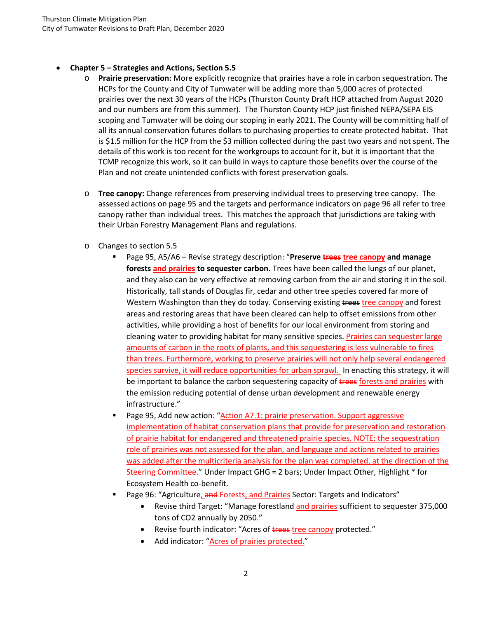## • **Chapter 5 – Strategies and Actions, Section 5.5**

- o **Prairie preservation:** More explicitly recognize that prairies have a role in carbon sequestration. The HCPs for the County and City of Tumwater will be adding more than 5,000 acres of protected prairies over the next 30 years of the HCPs (Thurston County Draft HCP attached from August 2020 and our numbers are from this summer). The Thurston County HCP just finished NEPA/SEPA EIS scoping and Tumwater will be doing our scoping in early 2021. The County will be committing half of all its annual conservation futures dollars to purchasing properties to create protected habitat. That is \$1.5 million for the HCP from the \$3 million collected during the past two years and not spent. The details of this work is too recent for the workgroups to account for it, but it is important that the TCMP recognize this work, so it can build in ways to capture those benefits over the course of the Plan and not create unintended conflicts with forest preservation goals.
- o **Tree canopy:** Change references from preserving individual trees to preserving tree canopy. The assessed actions on page 95 and the targets and performance indicators on page 96 all refer to tree canopy rather than individual trees. This matches the approach that jurisdictions are taking with their Urban Forestry Management Plans and regulations.
- o Changes to section 5.5
	- Page 95, A5/A6 Revise strategy description: "**Preserve trees tree canopy and manage forests and prairies to sequester carbon.** Trees have been called the lungs of our planet, and they also can be very effective at removing carbon from the air and storing it in the soil. Historically, tall stands of Douglas fir, cedar and other tree species covered far more of Western Washington than they do today. Conserving existing trees tree canopy and forest areas and restoring areas that have been cleared can help to offset emissions from other activities, while providing a host of benefits for our local environment from storing and cleaning water to providing habitat for many sensitive species. Prairies can sequester large amounts of carbon in the roots of plants, and this sequestering is less vulnerable to fires than trees. Furthermore, working to preserve prairies will not only help several endangered species survive, it will reduce opportunities for urban sprawl. In enacting this strategy, it will be important to balance the carbon sequestering capacity of trees forests and prairies with the emission reducing potential of dense urban development and renewable energy infrastructure."
	- Page 95, Add new action: "Action A7.1: prairie preservation. Support aggressive implementation of habitat conservation plans that provide for preservation and restoration of prairie habitat for endangered and threatened prairie species. NOTE: the sequestration role of prairies was not assessed for the plan, and language and actions related to prairies was added after the multicriteria analysis for the plan was completed, at the direction of the Steering Committee." Under Impact GHG = 2 bars; Under Impact Other, Highlight \* for Ecosystem Health co-benefit.
	- Page 96: "Agriculture, and Forests, and Prairies Sector: Targets and Indicators"
		- Revise third Target: "Manage forestland and prairies sufficient to sequester 375,000 tons of CO2 annually by 2050."
		- Revise fourth indicator: "Acres of trees tree canopy protected."
		- Add indicator: "Acres of prairies protected."